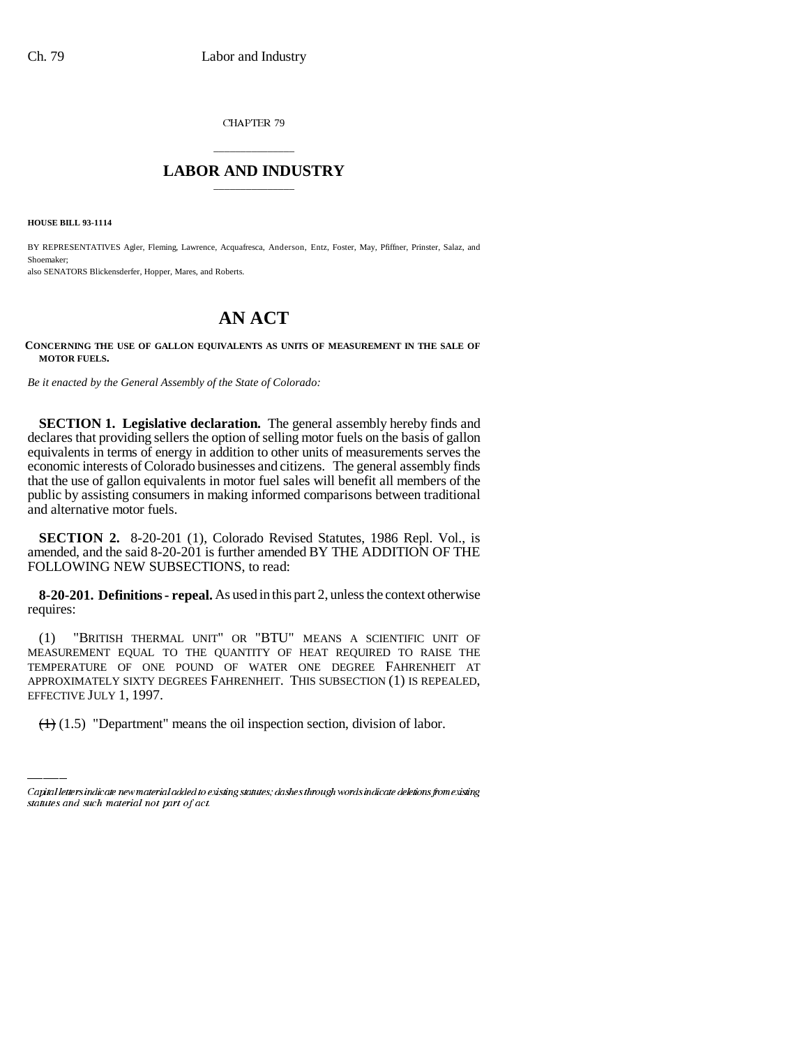CHAPTER 79

## \_\_\_\_\_\_\_\_\_\_\_\_\_\_\_ **LABOR AND INDUSTRY** \_\_\_\_\_\_\_\_\_\_\_\_\_\_\_

**HOUSE BILL 93-1114**

BY REPRESENTATIVES Agler, Fleming, Lawrence, Acquafresca, Anderson, Entz, Foster, May, Pfiffner, Prinster, Salaz, and Shoemaker;

also SENATORS Blickensderfer, Hopper, Mares, and Roberts.

## **AN ACT**

**CONCERNING THE USE OF GALLON EQUIVALENTS AS UNITS OF MEASUREMENT IN THE SALE OF MOTOR FUELS.**

*Be it enacted by the General Assembly of the State of Colorado:*

**SECTION 1. Legislative declaration.** The general assembly hereby finds and declares that providing sellers the option of selling motor fuels on the basis of gallon equivalents in terms of energy in addition to other units of measurements serves the economic interests of Colorado businesses and citizens. The general assembly finds that the use of gallon equivalents in motor fuel sales will benefit all members of the public by assisting consumers in making informed comparisons between traditional and alternative motor fuels.

**SECTION 2.** 8-20-201 (1), Colorado Revised Statutes, 1986 Repl. Vol., is amended, and the said 8-20-201 is further amended BY THE ADDITION OF THE FOLLOWING NEW SUBSECTIONS, to read:

**8-20-201. Definitions - repeal.** As used in this part 2, unless the context otherwise requires:

APPROXIMATELY SIXTY DEGREES FAHRENHEIT. THIS SUBSECTION (1) IS REPEALED, (1) "BRITISH THERMAL UNIT" OR "BTU" MEANS A SCIENTIFIC UNIT OF MEASUREMENT EQUAL TO THE QUANTITY OF HEAT REQUIRED TO RAISE THE TEMPERATURE OF ONE POUND OF WATER ONE DEGREE FAHRENHEIT AT EFFECTIVE JULY 1, 1997.

 $(1.5)$  "Department" means the oil inspection section, division of labor.

Capital letters indicate new material added to existing statutes; dashes through words indicate deletions from existing statutes and such material not part of act.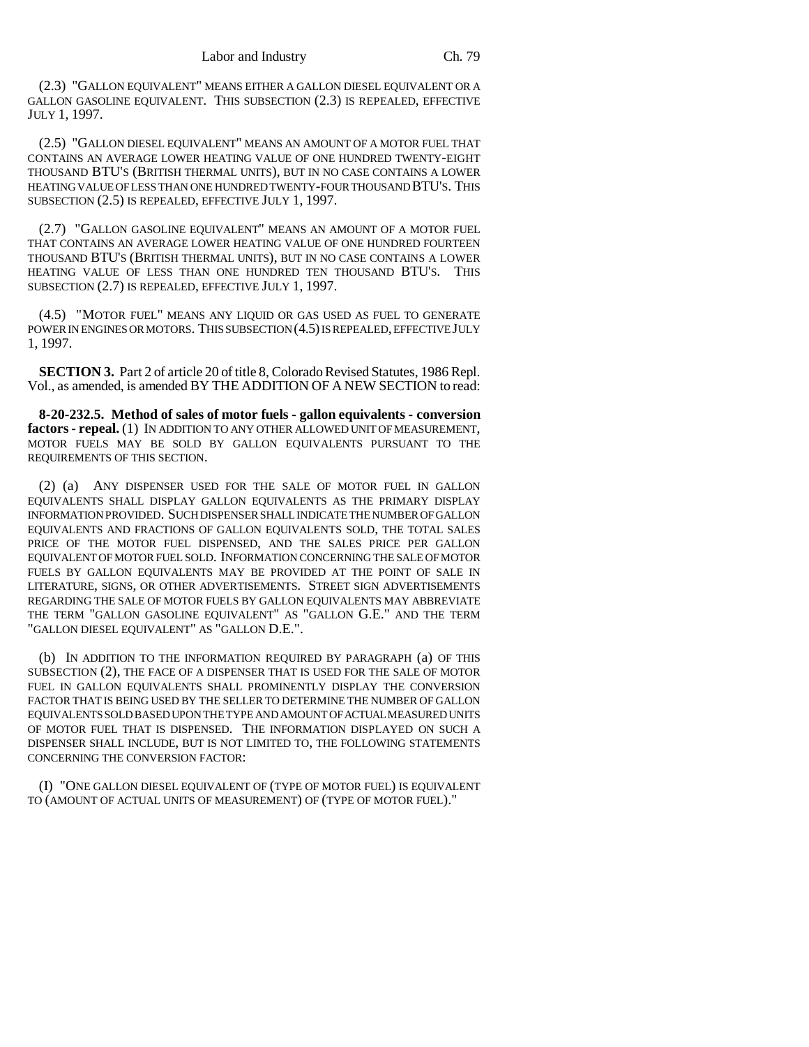(2.3) "GALLON EQUIVALENT" MEANS EITHER A GALLON DIESEL EQUIVALENT OR A GALLON GASOLINE EQUIVALENT. THIS SUBSECTION (2.3) IS REPEALED, EFFECTIVE JULY 1, 1997.

(2.5) "GALLON DIESEL EQUIVALENT" MEANS AN AMOUNT OF A MOTOR FUEL THAT CONTAINS AN AVERAGE LOWER HEATING VALUE OF ONE HUNDRED TWENTY-EIGHT THOUSAND BTU'S (BRITISH THERMAL UNITS), BUT IN NO CASE CONTAINS A LOWER HEATING VALUE OF LESS THAN ONE HUNDRED TWENTY-FOUR THOUSAND BTU'S. THIS SUBSECTION (2.5) IS REPEALED, EFFECTIVE JULY 1, 1997.

(2.7) "GALLON GASOLINE EQUIVALENT" MEANS AN AMOUNT OF A MOTOR FUEL THAT CONTAINS AN AVERAGE LOWER HEATING VALUE OF ONE HUNDRED FOURTEEN THOUSAND BTU'S (BRITISH THERMAL UNITS), BUT IN NO CASE CONTAINS A LOWER HEATING VALUE OF LESS THAN ONE HUNDRED TEN THOUSAND BTU'S. THIS SUBSECTION (2.7) IS REPEALED, EFFECTIVE JULY 1, 1997.

(4.5) "MOTOR FUEL" MEANS ANY LIQUID OR GAS USED AS FUEL TO GENERATE POWER IN ENGINES OR MOTORS. THIS SUBSECTION (4.5) IS REPEALED, EFFECTIVE JULY 1, 1997.

**SECTION 3.** Part 2 of article 20 of title 8, Colorado Revised Statutes, 1986 Repl. Vol., as amended, is amended BY THE ADDITION OF A NEW SECTION to read:

**8-20-232.5. Method of sales of motor fuels - gallon equivalents - conversion factors - repeal.** (1) IN ADDITION TO ANY OTHER ALLOWED UNIT OF MEASUREMENT, MOTOR FUELS MAY BE SOLD BY GALLON EQUIVALENTS PURSUANT TO THE REQUIREMENTS OF THIS SECTION.

(2) (a) ANY DISPENSER USED FOR THE SALE OF MOTOR FUEL IN GALLON EQUIVALENTS SHALL DISPLAY GALLON EQUIVALENTS AS THE PRIMARY DISPLAY INFORMATION PROVIDED. SUCH DISPENSER SHALL INDICATE THE NUMBER OF GALLON EQUIVALENTS AND FRACTIONS OF GALLON EQUIVALENTS SOLD, THE TOTAL SALES PRICE OF THE MOTOR FUEL DISPENSED, AND THE SALES PRICE PER GALLON EQUIVALENT OF MOTOR FUEL SOLD. INFORMATION CONCERNING THE SALE OF MOTOR FUELS BY GALLON EQUIVALENTS MAY BE PROVIDED AT THE POINT OF SALE IN LITERATURE, SIGNS, OR OTHER ADVERTISEMENTS. STREET SIGN ADVERTISEMENTS REGARDING THE SALE OF MOTOR FUELS BY GALLON EQUIVALENTS MAY ABBREVIATE THE TERM "GALLON GASOLINE EQUIVALENT" AS "GALLON G.E." AND THE TERM "GALLON DIESEL EQUIVALENT" AS "GALLON D.E.".

(b) IN ADDITION TO THE INFORMATION REQUIRED BY PARAGRAPH (a) OF THIS SUBSECTION (2), THE FACE OF A DISPENSER THAT IS USED FOR THE SALE OF MOTOR FUEL IN GALLON EQUIVALENTS SHALL PROMINENTLY DISPLAY THE CONVERSION FACTOR THAT IS BEING USED BY THE SELLER TO DETERMINE THE NUMBER OF GALLON EQUIVALENTS SOLD BASED UPON THE TYPE AND AMOUNT OF ACTUAL MEASURED UNITS OF MOTOR FUEL THAT IS DISPENSED. THE INFORMATION DISPLAYED ON SUCH A DISPENSER SHALL INCLUDE, BUT IS NOT LIMITED TO, THE FOLLOWING STATEMENTS CONCERNING THE CONVERSION FACTOR:

(I) "ONE GALLON DIESEL EQUIVALENT OF (TYPE OF MOTOR FUEL) IS EQUIVALENT TO (AMOUNT OF ACTUAL UNITS OF MEASUREMENT) OF (TYPE OF MOTOR FUEL)."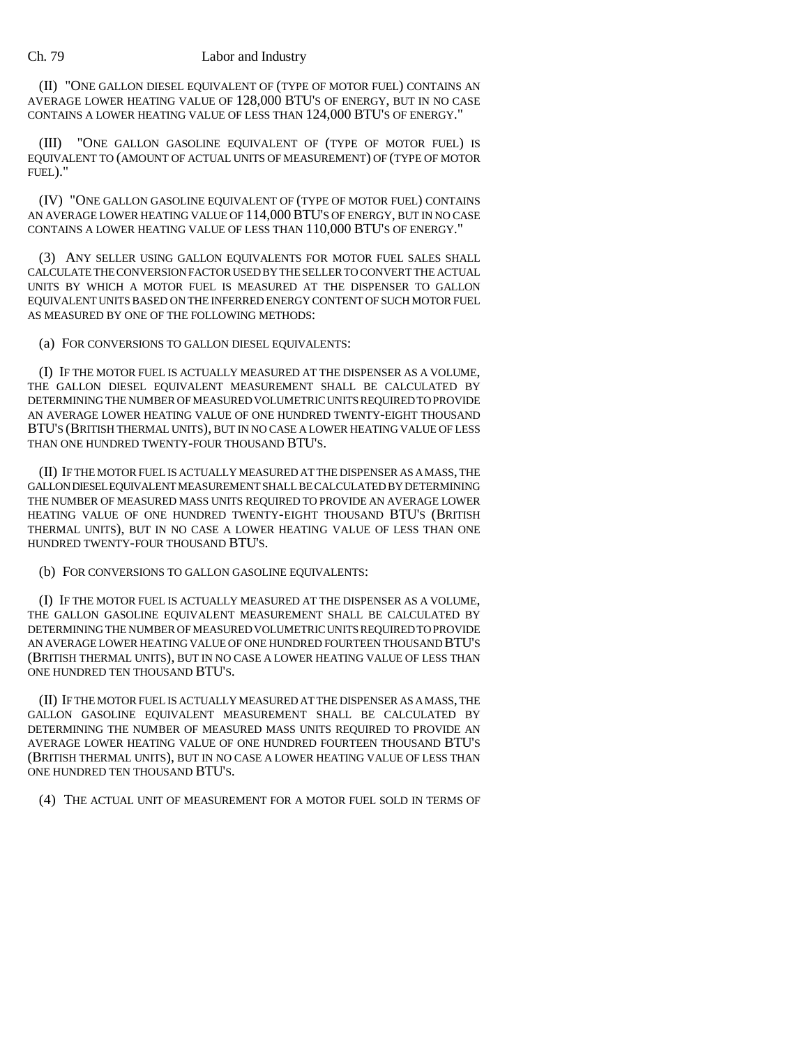(II) "ONE GALLON DIESEL EQUIVALENT OF (TYPE OF MOTOR FUEL) CONTAINS AN AVERAGE LOWER HEATING VALUE OF 128,000 BTU'S OF ENERGY, BUT IN NO CASE CONTAINS A LOWER HEATING VALUE OF LESS THAN 124,000 BTU'S OF ENERGY."

(III) "ONE GALLON GASOLINE EQUIVALENT OF (TYPE OF MOTOR FUEL) IS EQUIVALENT TO (AMOUNT OF ACTUAL UNITS OF MEASUREMENT) OF (TYPE OF MOTOR FUEL)."

(IV) "ONE GALLON GASOLINE EQUIVALENT OF (TYPE OF MOTOR FUEL) CONTAINS AN AVERAGE LOWER HEATING VALUE OF 114,000BTU'S OF ENERGY, BUT IN NO CASE CONTAINS A LOWER HEATING VALUE OF LESS THAN 110,000 BTU'S OF ENERGY."

(3) ANY SELLER USING GALLON EQUIVALENTS FOR MOTOR FUEL SALES SHALL CALCULATE THE CONVERSION FACTOR USED BY THE SELLER TO CONVERT THE ACTUAL UNITS BY WHICH A MOTOR FUEL IS MEASURED AT THE DISPENSER TO GALLON EQUIVALENT UNITS BASED ON THE INFERRED ENERGY CONTENT OF SUCH MOTOR FUEL AS MEASURED BY ONE OF THE FOLLOWING METHODS:

(a) FOR CONVERSIONS TO GALLON DIESEL EQUIVALENTS:

(I) IF THE MOTOR FUEL IS ACTUALLY MEASURED AT THE DISPENSER AS A VOLUME, THE GALLON DIESEL EQUIVALENT MEASUREMENT SHALL BE CALCULATED BY DETERMINING THE NUMBER OF MEASURED VOLUMETRIC UNITS REQUIRED TO PROVIDE AN AVERAGE LOWER HEATING VALUE OF ONE HUNDRED TWENTY-EIGHT THOUSAND BTU'S (BRITISH THERMAL UNITS), BUT IN NO CASE A LOWER HEATING VALUE OF LESS THAN ONE HUNDRED TWENTY-FOUR THOUSAND BTU'S.

(II) IF THE MOTOR FUEL IS ACTUALLY MEASURED AT THE DISPENSER AS A MASS, THE GALLON DIESEL EQUIVALENT MEASUREMENT SHALL BE CALCULATED BY DETERMINING THE NUMBER OF MEASURED MASS UNITS REQUIRED TO PROVIDE AN AVERAGE LOWER HEATING VALUE OF ONE HUNDRED TWENTY-EIGHT THOUSAND BTU'S (BRITISH THERMAL UNITS), BUT IN NO CASE A LOWER HEATING VALUE OF LESS THAN ONE HUNDRED TWENTY-FOUR THOUSAND BTU'S.

(b) FOR CONVERSIONS TO GALLON GASOLINE EQUIVALENTS:

(I) IF THE MOTOR FUEL IS ACTUALLY MEASURED AT THE DISPENSER AS A VOLUME, THE GALLON GASOLINE EQUIVALENT MEASUREMENT SHALL BE CALCULATED BY DETERMINING THE NUMBER OF MEASURED VOLUMETRIC UNITS REQUIRED TO PROVIDE AN AVERAGE LOWER HEATING VALUE OF ONE HUNDRED FOURTEEN THOUSAND BTU'S (BRITISH THERMAL UNITS), BUT IN NO CASE A LOWER HEATING VALUE OF LESS THAN ONE HUNDRED TEN THOUSAND BTU'S.

(II) IF THE MOTOR FUEL IS ACTUALLY MEASURED AT THE DISPENSER AS A MASS, THE GALLON GASOLINE EQUIVALENT MEASUREMENT SHALL BE CALCULATED BY DETERMINING THE NUMBER OF MEASURED MASS UNITS REQUIRED TO PROVIDE AN AVERAGE LOWER HEATING VALUE OF ONE HUNDRED FOURTEEN THOUSAND BTU'S (BRITISH THERMAL UNITS), BUT IN NO CASE A LOWER HEATING VALUE OF LESS THAN ONE HUNDRED TEN THOUSAND BTU'S.

(4) THE ACTUAL UNIT OF MEASUREMENT FOR A MOTOR FUEL SOLD IN TERMS OF